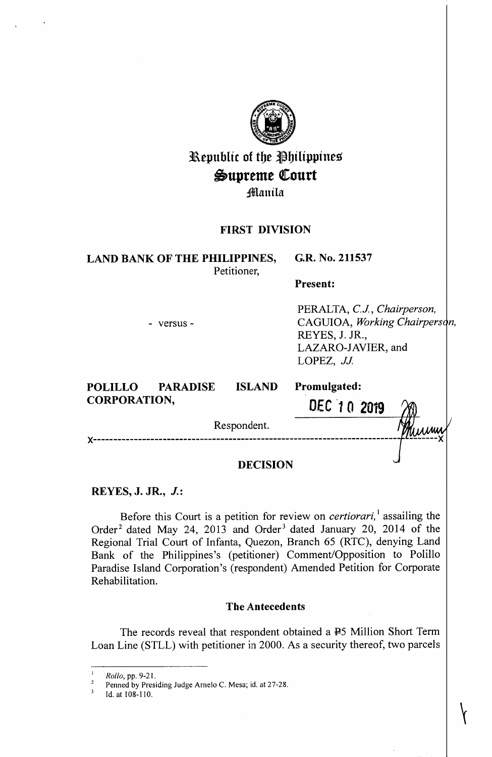| Republic of the Philippines<br>Supreme Court<br>Manila<br><b>FIRST DIVISION</b> |               |                                                                                                                    |
|---------------------------------------------------------------------------------|---------------|--------------------------------------------------------------------------------------------------------------------|
|                                                                                 |               |                                                                                                                    |
| <b>Present:</b>                                                                 |               |                                                                                                                    |
| - versus -                                                                      |               | PERALTA, C.J., Chairperson,<br>CAGUIOA, Working Chairperson,<br>REYES, J. JR.,<br>LAZARO-JAVIER, and<br>LOPEZ, JJ. |
| POLILLO PARADISE<br><b>CORPORATION,</b>                                         | <b>ISLAND</b> | Promulgated:                                                                                                       |
|                                                                                 |               | DEC 10 2019                                                                                                        |
| Respondent.                                                                     |               |                                                                                                                    |
| <b>DECISION</b>                                                                 |               |                                                                                                                    |

## **REYES, J. JR., J.:**

Before this Court is a petition for review on *certiorari,* <sup>1</sup>assailing the Order<sup>2</sup> dated May 24, 2013 and Order<sup>3</sup> dated January 20, 2014 of the Regional Trial Court of Infanta, Quezon, Branch 65 (RTC), denying Land Bank of the Philippines's (petitioner) Comment/Opposition to Polillo Paradise Island Corporation's (respondent) Amended Petition for Corporate Rehabilitation.

## **The Antecedents**

The records reveal that respondent obtained a  $\overline{P}$  Million Short Term Loan Line (STLL) with petitioner in 2000. As a security thereof, two parcels

 $\bigg\}$ 

<sup>1</sup>*Rollo,* pp. 9-21.

<sup>&</sup>lt;sup>2</sup> Penned by Presiding Judge Arnelo C. Mesa; id. at 27-28.<br><sup>3</sup> Id. at 108-110.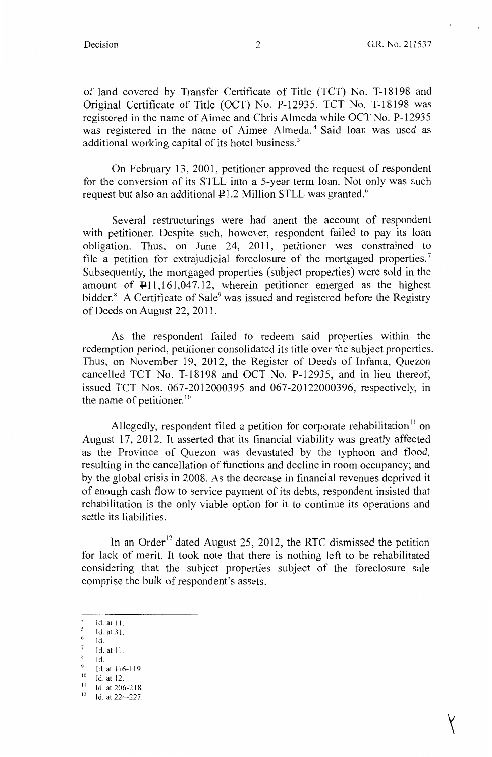$\left| \right|$ 

of land covered by Transfer Certificate of Title (TCT) No. T-18198 and Original Certificate of Title (OCT) No. P-12935. TCT No. T-18198 was registered in the name of Aimee and Chris Almeda while OCT No. P-12935 was registered in the name of Aimee Almeda.<sup>4</sup> Said loan was used as additional working capital of its hotel business.<sup>5</sup>

On February 13, 2001, petitioner approved the request of respondent for the conversion of its STLL into a 5-year term loan. Not only was such request but also an additional  $\mathbb{P}1.2$  Million STLL was granted.<sup>6</sup>

Several restructurings were had anent the account of respondent with petitioner. Despite such, however, respondent failed to pay its loan obligation. Thus, on June 24, 2011, petitioner was constrained to file a petition for extrajudicial foreclosure of the mortgaged properties.<sup>7</sup> Subsequently, the mortgaged properties (subject properties) were sold in the amount of P11,161,047.12, wherein petitioner emerged as the highest bidder.<sup>8</sup> A Certificate of Sale<sup>9</sup> was issued and registered before the Registry of Deeds on August 22, 2011.

As the respondent failed to redeem said properties within the redemption period, petitioner consolidated its title over the subject properties. Thus, on November 19, 2012, the Register of Deeds of Infanta, Quezon cancelled TCT No. T-18198 and OCT No. P-12935, and in lieu thereof, issued TCT Nos. 067-2012000395 and 067-20122000396, respectively, in the name of petitioner. $10$ 

Allegedly, respondent filed a petition for corporate rehabilitation<sup>11</sup> on August 17, 2012. It asserted that its financial viability was greatly affected as the Province of Quezon was devastated by the typhoon and flood, resulting in the cancellation of functions and decline in room occupancy; and by the global crisis in 2008. As the decrease in financial revenues deprived it of enough cash flow to service payment of its debts, respondent insisted that rehabilitation is the only viable option for it to continue its operations and settle its liabilities.

In an Order<sup>12</sup> dated August 25, 2012, the RTC dismissed the petition for lack of merit. It took note that there is nothing left to be rehabilitated considering that the subject properties subject of the foreclosure sale comprise the bulk of respondent's assets.

Id. at 12.

<sup>4</sup>Id. at 11. 5

Id. at 31.  $6$  Id.

<sup>7</sup>Id. at 11.

Id.

 $9$  Id. at 116-119.

 $\frac{11}{12}$  Id. at 206-218.<br>Id. at 224-227.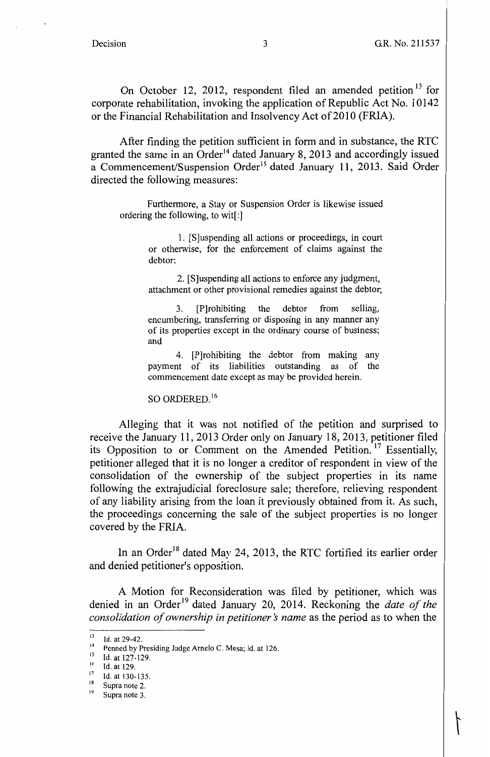$\tilde{1}$ 

On October 12, 2012, respondent filed an amended petition<sup>13</sup> for corporate rehabilitation, invoking the application of Republic Act No. 10142 or the Financial Rehabilitation and Insolvency Act of 2010 (FRIA).

After finding the petition sufficient in form and in substance, the RTC granted the same in an Order<sup>14</sup> dated January 8, 2013 and accordingly issued a Commencement/Suspension Order<sup>15</sup> dated January 11, 2013. Said Order directed the following measures:

Furthermore, a Stay or Suspension Order is likewise issued ordering the following, to wit[:]

> 1. [S]uspending all actions or proceedings, in court or otherwise, for the enforcement of claims against the debtor;

> 2. [S]uspending all actions to enforce any judgment, attachment or other provisional remedies against the debtor;

3. (P]rohibiting the debtor from selling, encumbering, transferring or disposing in any manner any of its properties except in the ordinary course of business; and

4. [P]rohibiting the debtor from making any payment of its liabilities outstanding as of the commencement date except as may be provided herein.

SO ORDERED.<sup>16</sup>

Alleging that it was not notified of the petition and surprised to receive the January 11, 2013 Order only on January 18, 2013, petitioner filed its Opposition to or Comment on the Amended Petition.<sup>17</sup> Essentially, petitioner alleged that it is no longer a creditor of respondent in view of the consolidation of the ownership of the subject properties in its name following the extrajudicial foreclosure sale; therefore, relieving respondent of any liability arising from the loan it previously obtained from it. As such, the proceedings concerning the sale of the subject properties is no longer covered by the FRIA.

In an Order<sup>18</sup> dated May 24, 2013, the RTC fortified its earlier order and denied petitioner's opposition.

A Motion for Reconsideration was filed by petitioner, which was denied in an Order<sup>19</sup> dated January 20, 2014. Reckoning the *date of the consolidation of ownership in petitioner's name* as the period as to when the

<sup>&</sup>lt;sup>13</sup> Id. at 29-42.<br><sup>14</sup> Penned by Presiding Judge Arnelo C. Mesa; id. at 126.<br><sup>15</sup> Id. at 127, 129.

Id. at 127-129.

 $^{16}$  Id. at 129.<br><sup>17</sup> Id. at 130-135.

 $18$  Supra note 2.

<sup>&</sup>lt;sup>19</sup> Supra note 3.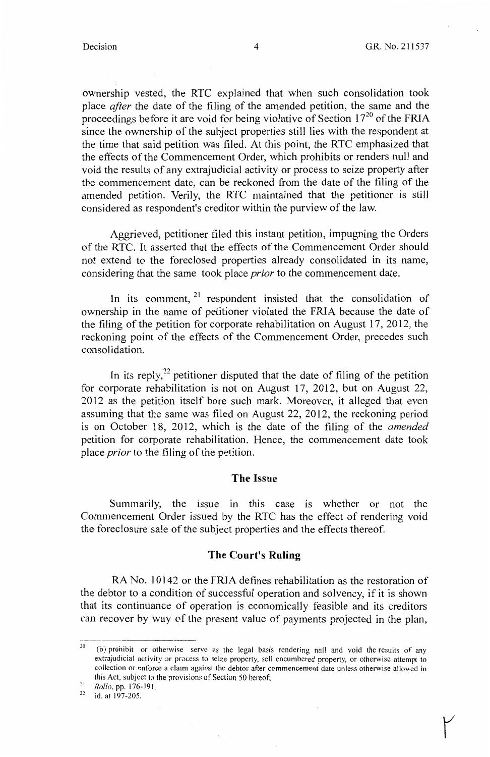$\mathcal{V}$ 

ownership vested, the RTC explained that when such consolidation took place *after* the date of the filing of the amended petition, the same and the proceedings before it are void for being violative of Section  $17^{20}$  of the FRIA since the ownership of the subject properties still lies with the respondent at the time that said petition was filed. At this point, the RTC emphasized that the effects of the Commencement Order, which prohibits or renders null and void the results of any extrajudicial activity or process to seize property after the commencement date, can be reckoned from the date of the filing of the amended petition. Verily, the RTC maintained that the petitioner is still considered as respondent's creditor within the purview of the law.

Aggrieved, petitioner filed this instant petition, impugning the Orders of the RTC. It asserted that the effects of the Commencement Order should not extend to the foreclosed properties already consolidated in its name, considering that the same took place *prior* to the commencement date.

In its comment,  $2^1$  respondent insisted that the consolidation of ownership in the name of petitioner violated the FRIA because the date of the filing of the petition for corporate rehabilitation on August 17, 2012, the reckoning point of the effects of the Commencement Order, precedes such consolidation.

In its reply, $2^2$  petitioner disputed that the date of filing of the petition for corporate rehabilitation is not on August 17, 2012, but on August 22, 2012 as the petition itself bore such mark. Moreover, it alleged that even assuming that the same was filed on August 22, 2012, the reckoning period is on October 18, 2012, which is the date of the filing of the *amended*  petition for corporate rehabilitation. Hence, the commencement date took place *prior* to the filing of the petition.

#### **The Issue**

Summarily, the issue in this case is whether or not the Commencement Order issued by the RTC has the effect of rendering void the foreclosure sale of the subject properties and the effects thereof.

### **The Court's Ruling**

RA No. 10142 or the FRIA defines rehabilitation as the restoration of the debtor to a condition of successful operation and solvency, if it is shown that its continuance of operation is economically feasible and its creditors can recover by way of the present value of payments projected in the plan,

 $20$  (b) prohibit or otherwise serve as the legal basis rendering null and void the results of any extrajudicial activity or process to seize property, sell encumbered property, or otherwise attempt to collection or enforce a claim against the debtor after commencement date unless otherwise allowed in this Act, subject to the provisions of Section 50 hereof;

<sup>&</sup>lt;sup>21</sup> *Rollo*, pp. 176-191.<br><sup>22</sup> Id. at 197-205.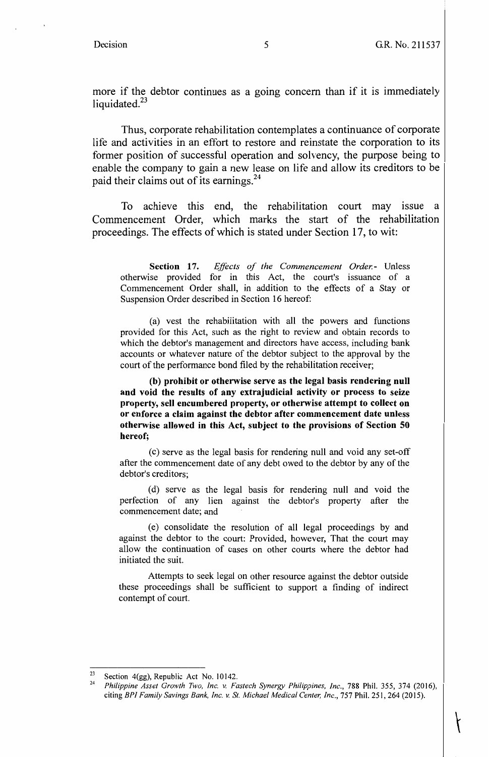$\left| \right|$ 

more if the debtor continues as a going concern than if it is immediately liquidated. $23$ 

Thus, corporate rehabilitation contemplates a continuance of corporate life and activities in an effort to restore and reinstate the corporation to its former position of successful operation and solvency, the purpose being to enable the company to gain a new lease on life and allow its creditors to be paid their claims out of its earnings.<sup>24</sup>

To achieve this end, the rehabilitation court may issue a Commencement Order, which marks the start of the rehabilitation proceedings. The effects of which is stated under Section 17, to wit:

Section 17. *Effects of the Commencement Order.* Unless otherwise provided for in this Act, the court's issuance of a Commencement Order shall, in addition to the effects of a Stay or Suspension Order described in Section 16 hereof:

(a) vest the rehabilitation with all the powers and functions provided for this Act, such as the right to review and obtain records to which the debtor's management and directors have access, including bank accounts or whatever nature of the debtor subject to the approval by the court of the performance bond filed by the rehabilitation receiver;

**(b) prohibit or otherwise serve as the legal basis rendering null and void the results of any extrajudicial activity or process to seize property, sell encumbered property, or otherwise attempt to collect on or enforce a claim against the debtor after commencement date unless otherwise allowed in this Act, subject to the provisions of Section 50 hereof;** 

(c) serve as the legal basis for rendering null and void any set-off after the commencement date of any debt owed to the debtor by any of the debtor's creditors;

( d) serve as the legal basis for rendering null and void the perfection of any lien against the debtor's property after the commencement date; and

(e) consolidate the resolution of all legal proceedings by and against the debtor to the court: Provided, however, That the court may allow the continuation of cases on other courts where the debtor had initiated the suit.

Attempts to seek legal on other resource against the debtor outside these proceedings shall be sufficient to support a finding of indirect contempt of court.

<sup>&</sup>lt;sup>23</sup> Section 4(gg), Republic Act No. 10142.<br><sup>24</sup> *Philippine Asset Growth Two, Inc. v. Fastech Synergy Philippines, Inc.*, 788 Phil. 355, 374 (2016), citing *BPI Family Savings Bank, Inc. v. St. Michael Medical Center, Inc.,* 757 Phil. 251, 264 (2015).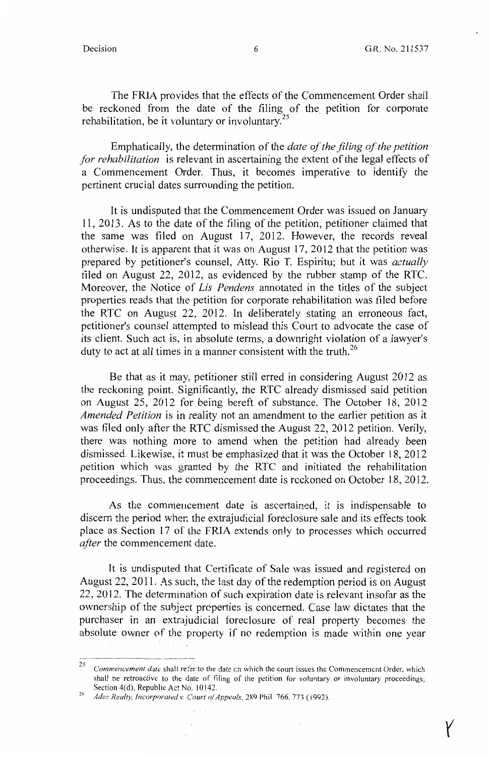$\gamma$ 

The FRIA provides that the effects of the Commencement Order shall be reckoned from the date of the filing of the petition for corporate rehabilitation, be it voluntary or involuntary.<sup>25</sup>

Emphatically, the determination of the *date of the filing of the petition for rehabilitation* is relevant in ascertaining the extent of the legal effects of a Commencement Order. Thus, it becomes imperative to identify the pertinent crucial dates surrounding the petition.

It is undisputed that the Commencement Order was issued on January 11, 2013. As to the date of the filing of the petition, petitioner claimed that the same was filed on August  $17$ , 2012. However, the records reveal otherwise. It is apparent that it was on August 17, 2012 that the petition was prepared by petitioner's counsel, Atty. Rio T. Espiritu; but it was *actually*  filed on August 22, 2012, as evidenced by the rubber stamp of the RTC. Moreover, the Notice of *Lis Pendens* annotated in the titles of the subject properties reads that the petition for corporate rehabilitation was filed before the RTC on August 22, 2012. In deliberately stating an erroneous fact, petitioner's counsel attempted to mislead this Court to advocate the case of its client. Such act is, in absolute terms, a downright violation of a lawyer's duty to act at all times in a manner consistent with the truth.<sup>26</sup>

Be that as it may, petitioner still erred in considering August 2012 as the reckoning point. Significantly, the RTC already dismissed said petition on August 25, 2012 for being bereft of substance. The October 18, 2012 *Amended Petition* is in reality not an amendment to the earlier petition as it was filed only after the RTC dismissed the August 22, 2012 petition. Verily, there was nothing more to amend when the petition had already been dismissed. Likewise, it must be emphasized that it was the October 18, 2012 petition which was granted by the RTC and initiated the rehabilitation proceedings. Thus, the commencement date is reckoned on October 18, 2012.

As the commencement date is ascertained, it is indispensable to discern the period wher. the extrajudicial foreclosure sale and its effects took place as Section 17 of the FRIA extends only to processes which occurred *after* the commencement date.

It is undisputed that Certificate of Sale was issued and registered on August 22, 2011. As such, the last day of the redemption period is on August 22, 2012. The determination of such expiration date is relevant insofar as the ownership of the subject prcperties is concerned. Case law dictates that the purchaser in an extrajudicial foreclosure of real property becomes the absolute owner of the property if no redemption is made within one year

<sup>25</sup>*Commencement date* shall refer to the date en which the court issues the Commencement Order, which shall be retroactive to the date of filing of the petition for voluntary or involuntary proceedings; Section 4(d), Republic Act No. 10142.

<sup>&</sup>lt;sup>26</sup> Adez Realty, Incorporated v. Court of Appeals, 289 Phil. 766, 773 (1992).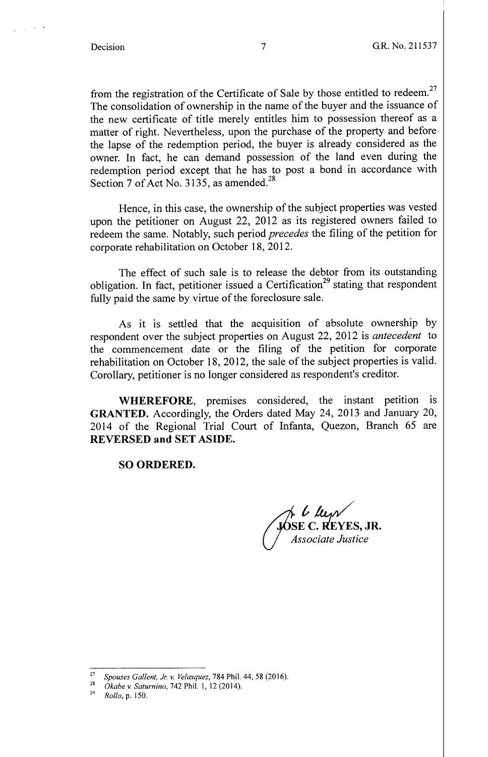### Decision 7 G.R. No. 211537

from the registration of the Certificate of Sale by those entitled to redeem.<sup>27</sup> The consolidation of ownership in the name of the buyer and the issuance of the new certificate of title merely entitles him to possession thereof as a matter of right. Nevertheless, upon the purchase of the property and before the lapse of the redemption period, the buyer is already considered as the owner. In fact, he can demand possession of the land even during the redemption period except that he has to post a bond in accordance with Section 7 of Act No. 3135, as amended.<sup>28</sup>

Hence, in this case, the ownership of the subject properties was vested upon the petitioner on August 22, 2012 as its registered owners failed to redeem the same. Notably, such period *precedes* the filing of the petition for corporate rehabilitation on October 18, 2012.

The effect of such sale is to release the debtor from its outstanding obligation. In fact, petitioner issued a Certification<sup>29</sup> stating that respondent fully paid the same by virtue of the foreclosure sale.

As it is settled that the acquisition of absolute ownership by respondent over the subject properties on August 22, 2012 is *antecedent* to the commencement date or the filing of the petition for corporate rehabilitation on October 18, 2012, the sale of the subject properties is valid. Corollary, petitioner is no longer considered as respondent's creditor.

**WHEREFORE,** premises considered, the instant petition is **GRANTED.** Accordingly, the Orders dated May 24, 2013 and January 20, 2014 of the Regional Trial Court of Infanta, Quezon, Branch 65 are **REVERSED and SET ASIDE.** 

#### **SO ORDERED.**

*/4:* **l::&:ES, JR.**  *U'"'Associate Justice* 

<sup>27</sup>*Spouses Ga/lent, Jr. v. Velasquez,* 784 Phil. 44, 58 (2016). 28 *Okabe* v. *Saturnina,* 742 Phil. I, 12 (2014). 29 *Rollo,* p. 150.